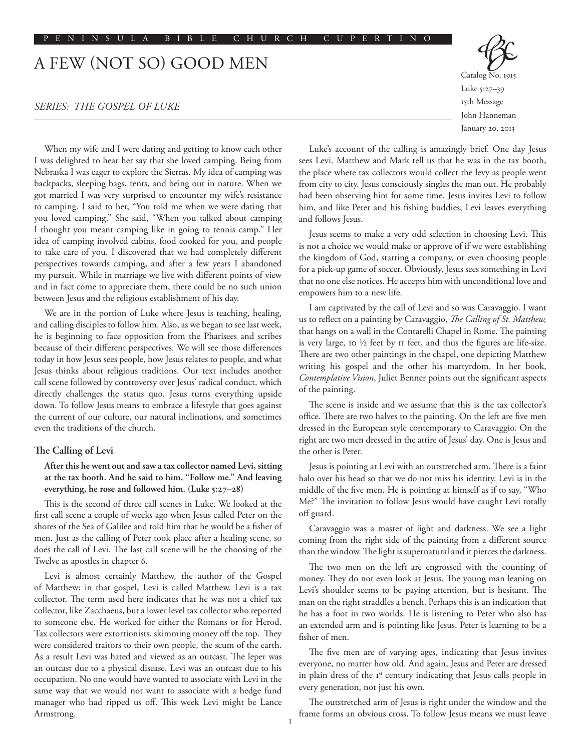# A FEW (NOT SO) GOOD MEN

# *SERIES: THE GOSPEL OF LUKE*

When my wife and I were dating and getting to know each other I was delighted to hear her say that she loved camping. Being from Nebraska I was eager to explore the Sierras. My idea of camping was backpacks, sleeping bags, tents, and being out in nature. When we got married I was very surprised to encounter my wife's resistance to camping. I said to her, "You told me when we were dating that you loved camping." She said, "When you talked about camping I thought you meant camping like in going to tennis camp." Her idea of camping involved cabins, food cooked for you, and people to take care of you. I discovered that we had completely different perspectives towards camping, and after a few years I abandoned my pursuit. While in marriage we live with different points of view and in fact come to appreciate them, there could be no such union between Jesus and the religious establishment of his day.

We are in the portion of Luke where Jesus is teaching, healing, and calling disciples to follow him. Also, as we began to see last week, he is beginning to face opposition from the Pharisees and scribes because of their different perspectives. We will see those differences today in how Jesus sees people, how Jesus relates to people, and what Jesus thinks about religious traditions. Our text includes another call scene followed by controversy over Jesus' radical conduct, which directly challenges the status quo. Jesus turns everything upside down. To follow Jesus means to embrace a lifestyle that goes against the current of our culture, our natural inclinations, and sometimes even the traditions of the church.

# **The Calling of Levi**

# **After this he went out and saw a tax collector named Levi, sitting at the tax booth. And he said to him, "Follow me." And leaving everything, he rose and followed him. (Luke 5:27–28)**

This is the second of three call scenes in Luke. We looked at the first call scene a couple of weeks ago when Jesus called Peter on the shores of the Sea of Galilee and told him that he would be a fisher of men. Just as the calling of Peter took place after a healing scene, so does the call of Levi. The last call scene will be the choosing of the Twelve as apostles in chapter 6.

Levi is almost certainly Matthew, the author of the Gospel of Matthew; in that gospel, Levi is called Matthew. Levi is a tax collector. The term used here indicates that he was not a chief tax collector, like Zacchaeus, but a lower level tax collector who reported to someone else. He worked for either the Romans or for Herod. Tax collectors were extortionists, skimming money off the top. They were considered traitors to their own people, the scum of the earth. As a result Levi was hated and viewed as an outcast. The leper was an outcast due to a physical disease. Levi was an outcast due to his occupation. No one would have wanted to associate with Levi in the same way that we would not want to associate with a hedge fund manager who had ripped us off. This week Levi might be Lance Armstrong.

Catalog No. 1915 Luke 5:27–39 15th Message John Hanneman January 20, 2013

Luke's account of the calling is amazingly brief. One day Jesus sees Levi. Matthew and Mark tell us that he was in the tax booth, the place where tax collectors would collect the levy as people went from city to city. Jesus consciously singles the man out. He probably had been observing him for some time. Jesus invites Levi to follow him, and like Peter and his fishing buddies, Levi leaves everything and follows Jesus.

Jesus seems to make a very odd selection in choosing Levi. This is not a choice we would make or approve of if we were establishing the kingdom of God, starting a company, or even choosing people for a pick-up game of soccer. Obviously, Jesus sees something in Levi that no one else notices. He accepts him with unconditional love and empowers him to a new life.

I am captivated by the call of Levi and so was Caravaggio. I want us to reflect on a painting by Caravaggio, *The Calling of St. Matthew,* that hangs on a wall in the Contarelli Chapel in Rome. The painting is very large, 10 ½ feet by 11 feet, and thus the figures are life-size. There are two other paintings in the chapel, one depicting Matthew writing his gospel and the other his martyrdom. In her book, *Contemplative Vision*, Juliet Benner points out the significant aspects of the painting.

The scene is inside and we assume that this is the tax collector's office. There are two halves to the painting. On the left are five men dressed in the European style contemporary to Caravaggio. On the right are two men dressed in the attire of Jesus' day. One is Jesus and the other is Peter.

Jesus is pointing at Levi with an outstretched arm. There is a faint halo over his head so that we do not miss his identity. Levi is in the middle of the five men. He is pointing at himself as if to say, "Who Me?" The invitation to follow Jesus would have caught Levi totally off guard.

Caravaggio was a master of light and darkness. We see a light coming from the right side of the painting from a different source than the window. The light is supernatural and it pierces the darkness.

The two men on the left are engrossed with the counting of money. They do not even look at Jesus. The young man leaning on Levi's shoulder seems to be paying attention, but is hesitant. The man on the right straddles a bench. Perhaps this is an indication that he has a foot in two worlds. He is listening to Peter who also has an extended arm and is pointing like Jesus. Peter is learning to be a fisher of men.

The five men are of varying ages, indicating that Jesus invites everyone, no matter how old. And again, Jesus and Peter are dressed in plain dress of the 1<sup>st</sup> century indicating that Jesus calls people in every generation, not just his own.

The outstretched arm of Jesus is right under the window and the frame forms an obvious cross. To follow Jesus means we must leave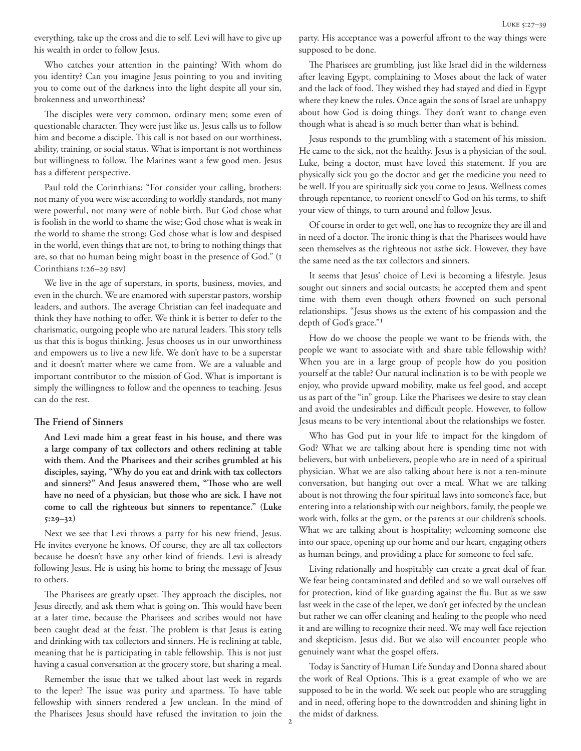everything, take up the cross and die to self. Levi will have to give up his wealth in order to follow Jesus.

Who catches your attention in the painting? With whom do you identity? Can you imagine Jesus pointing to you and inviting you to come out of the darkness into the light despite all your sin, brokenness and unworthiness?

The disciples were very common, ordinary men; some even of questionable character. They were just like us. Jesus calls us to follow him and become a disciple. This call is not based on our worthiness, ability, training, or social status. What is important is not worthiness but willingness to follow. The Marines want a few good men. Jesus has a different perspective.

Paul told the Corinthians: "For consider your calling, brothers: not many of you were wise according to worldly standards, not many were powerful, not many were of noble birth. But God chose what is foolish in the world to shame the wise; God chose what is weak in the world to shame the strong; God chose what is low and despised in the world, even things that are not, to bring to nothing things that are, so that no human being might boast in the presence of God." (1 Corinthians 1:26–29 ESV)

We live in the age of superstars, in sports, business, movies, and even in the church. We are enamored with superstar pastors, worship leaders, and authors. The average Christian can feel inadequate and think they have nothing to offer. We think it is better to defer to the charismatic, outgoing people who are natural leaders. This story tells us that this is bogus thinking. Jesus chooses us in our unworthiness and empowers us to live a new life. We don't have to be a superstar and it doesn't matter where we came from. We are a valuable and important contributor to the mission of God. What is important is simply the willingness to follow and the openness to teaching. Jesus can do the rest.

# **The Friend of Sinners**

**And Levi made him a great feast in his house, and there was a large company of tax collectors and others reclining at table with them. And the Pharisees and their scribes grumbled at his disciples, saying, "Why do you eat and drink with tax collectors and sinners?" And Jesus answered them, "Those who are well have no need of a physician, but those who are sick. I have not come to call the righteous but sinners to repentance." (Luke 5:29–32)**

Next we see that Levi throws a party for his new friend, Jesus. He invites everyone he knows. Of course, they are all tax collectors because he doesn't have any other kind of friends. Levi is already following Jesus. He is using his home to bring the message of Jesus to others.

The Pharisees are greatly upset. They approach the disciples, not Jesus directly, and ask them what is going on. This would have been at a later time, because the Pharisees and scribes would not have been caught dead at the feast. The problem is that Jesus is eating and drinking with tax collectors and sinners. He is reclining at table, meaning that he is participating in table fellowship. This is not just having a casual conversation at the grocery store, but sharing a meal.

Remember the issue that we talked about last week in regards to the leper? The issue was purity and apartness. To have table fellowship with sinners rendered a Jew unclean. In the mind of the Pharisees Jesus should have refused the invitation to join the

party. His acceptance was a powerful affront to the way things were supposed to be done.

The Pharisees are grumbling, just like Israel did in the wilderness after leaving Egypt, complaining to Moses about the lack of water and the lack of food. They wished they had stayed and died in Egypt where they knew the rules. Once again the sons of Israel are unhappy about how God is doing things. They don't want to change even though what is ahead is so much better than what is behind.

Jesus responds to the grumbling with a statement of his mission. He came to the sick, not the healthy. Jesus is a physician of the soul. Luke, being a doctor, must have loved this statement. If you are physically sick you go the doctor and get the medicine you need to be well. If you are spiritually sick you come to Jesus. Wellness comes through repentance, to reorient oneself to God on his terms, to shift your view of things, to turn around and follow Jesus.

Of course in order to get well, one has to recognize they are ill and in need of a doctor. The ironic thing is that the Pharisees would have seen themselves as the righteous not asthe sick. However, they have the same need as the tax collectors and sinners.

It seems that Jesus' choice of Levi is becoming a lifestyle. Jesus sought out sinners and social outcasts; he accepted them and spent time with them even though others frowned on such personal relationships. "Jesus shows us the extent of his compassion and the depth of God's grace."1

How do we choose the people we want to be friends with, the people we want to associate with and share table fellowship with? When you are in a large group of people how do you position yourself at the table? Our natural inclination is to be with people we enjoy, who provide upward mobility, make us feel good, and accept us as part of the "in" group. Like the Pharisees we desire to stay clean and avoid the undesirables and difficult people. However, to follow Jesus means to be very intentional about the relationships we foster.

Who has God put in your life to impact for the kingdom of God? What we are talking about here is spending time not with believers, but with unbelievers, people who are in need of a spiritual physician. What we are also talking about here is not a ten-minute conversation, but hanging out over a meal. What we are talking about is not throwing the four spiritual laws into someone's face, but entering into a relationship with our neighbors, family, the people we work with, folks at the gym, or the parents at our children's schools. What we are talking about is hospitality; welcoming someone else into our space, opening up our home and our heart, engaging others as human beings, and providing a place for someone to feel safe.

Living relationally and hospitably can create a great deal of fear. We fear being contaminated and defiled and so we wall ourselves off for protection, kind of like guarding against the flu. But as we saw last week in the case of the leper, we don't get infected by the unclean but rather we can offer cleaning and healing to the people who need it and are willing to recognize their need. We may well face rejection and skepticism. Jesus did. But we also will encounter people who genuinely want what the gospel offers.

Today is Sanctity of Human Life Sunday and Donna shared about the work of Real Options. This is a great example of who we are supposed to be in the world. We seek out people who are struggling and in need, offering hope to the downtrodden and shining light in the midst of darkness.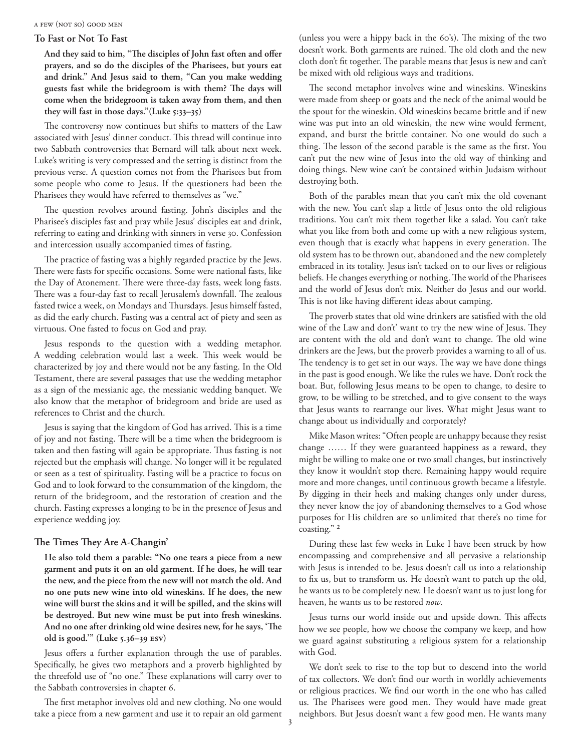#### a few (not so) good men

### **To Fast or Not To Fast**

**And they said to him, "The disciples of John fast often and offer prayers, and so do the disciples of the Pharisees, but yours eat and drink." And Jesus said to them, "Can you make wedding guests fast while the bridegroom is with them? The days will come when the bridegroom is taken away from them, and then they will fast in those days."(Luke 5:33–35)** 

The controversy now continues but shifts to matters of the Law associated with Jesus' dinner conduct. This thread will continue into two Sabbath controversies that Bernard will talk about next week. Luke's writing is very compressed and the setting is distinct from the previous verse. A question comes not from the Pharisees but from some people who come to Jesus. If the questioners had been the Pharisees they would have referred to themselves as "we."

The question revolves around fasting. John's disciples and the Pharisee's disciples fast and pray while Jesus' disciples eat and drink, referring to eating and drinking with sinners in verse 30. Confession and intercession usually accompanied times of fasting.

The practice of fasting was a highly regarded practice by the Jews. There were fasts for specific occasions. Some were national fasts, like the Day of Atonement. There were three-day fasts, week long fasts. There was a four-day fast to recall Jerusalem's downfall. The zealous fasted twice a week, on Mondays and Thursdays. Jesus himself fasted, as did the early church. Fasting was a central act of piety and seen as virtuous. One fasted to focus on God and pray.

Jesus responds to the question with a wedding metaphor. A wedding celebration would last a week. This week would be characterized by joy and there would not be any fasting. In the Old Testament, there are several passages that use the wedding metaphor as a sign of the messianic age, the messianic wedding banquet. We also know that the metaphor of bridegroom and bride are used as references to Christ and the church.

Jesus is saying that the kingdom of God has arrived. This is a time of joy and not fasting. There will be a time when the bridegroom is taken and then fasting will again be appropriate. Thus fasting is not rejected but the emphasis will change. No longer will it be regulated or seen as a test of spirituality. Fasting will be a practice to focus on God and to look forward to the consummation of the kingdom, the return of the bridegroom, and the restoration of creation and the church. Fasting expresses a longing to be in the presence of Jesus and experience wedding joy.

### **The Times They Are A-Changin'**

**He also told them a parable: "No one tears a piece from a new garment and puts it on an old garment. If he does, he will tear the new, and the piece from the new will not match the old. And no one puts new wine into old wineskins. If he does, the new wine will burst the skins and it will be spilled, and the skins will be destroyed. But new wine must be put into fresh wineskins. And no one after drinking old wine desires new, for he says, 'The old is good.'" (Luke 5.36–39 ESV)**

Jesus offers a further explanation through the use of parables. Specifically, he gives two metaphors and a proverb highlighted by the threefold use of "no one." These explanations will carry over to the Sabbath controversies in chapter 6.

The first metaphor involves old and new clothing. No one would take a piece from a new garment and use it to repair an old garment (unless you were a hippy back in the 60's). The mixing of the two doesn't work. Both garments are ruined. The old cloth and the new cloth don't fit together. The parable means that Jesus is new and can't be mixed with old religious ways and traditions.

The second metaphor involves wine and wineskins. Wineskins were made from sheep or goats and the neck of the animal would be the spout for the wineskin. Old wineskins became brittle and if new wine was put into an old wineskin, the new wine would ferment, expand, and burst the brittle container. No one would do such a thing. The lesson of the second parable is the same as the first. You can't put the new wine of Jesus into the old way of thinking and doing things. New wine can't be contained within Judaism without destroying both.

Both of the parables mean that you can't mix the old covenant with the new. You can't slap a little of Jesus onto the old religious traditions. You can't mix them together like a salad. You can't take what you like from both and come up with a new religious system, even though that is exactly what happens in every generation. The old system has to be thrown out, abandoned and the new completely embraced in its totality. Jesus isn't tacked on to our lives or religious beliefs. He changes everything or nothing. The world of the Pharisees and the world of Jesus don't mix. Neither do Jesus and our world. This is not like having different ideas about camping.

The proverb states that old wine drinkers are satisfied with the old wine of the Law and don't' want to try the new wine of Jesus. They are content with the old and don't want to change. The old wine drinkers are the Jews, but the proverb provides a warning to all of us. The tendency is to get set in our ways. The way we have done things in the past is good enough. We like the rules we have. Don't rock the boat. But, following Jesus means to be open to change, to desire to grow, to be willing to be stretched, and to give consent to the ways that Jesus wants to rearrange our lives. What might Jesus want to change about us individually and corporately?

Mike Mason writes: "Often people are unhappy because they resist change …… If they were guaranteed happiness as a reward, they might be willing to make one or two small changes, but instinctively they know it wouldn't stop there. Remaining happy would require more and more changes, until continuous growth became a lifestyle. By digging in their heels and making changes only under duress, they never know the joy of abandoning themselves to a God whose purposes for His children are so unlimited that there's no time for coasting." 2

During these last few weeks in Luke I have been struck by how encompassing and comprehensive and all pervasive a relationship with Jesus is intended to be. Jesus doesn't call us into a relationship to fix us, but to transform us. He doesn't want to patch up the old, he wants us to be completely new. He doesn't want us to just long for heaven, he wants us to be restored *now*.

Jesus turns our world inside out and upside down. This affects how we see people, how we choose the company we keep, and how we guard against substituting a religious system for a relationship with God.

We don't seek to rise to the top but to descend into the world of tax collectors. We don't find our worth in worldly achievements or religious practices. We find our worth in the one who has called us. The Pharisees were good men. They would have made great neighbors. But Jesus doesn't want a few good men. He wants many